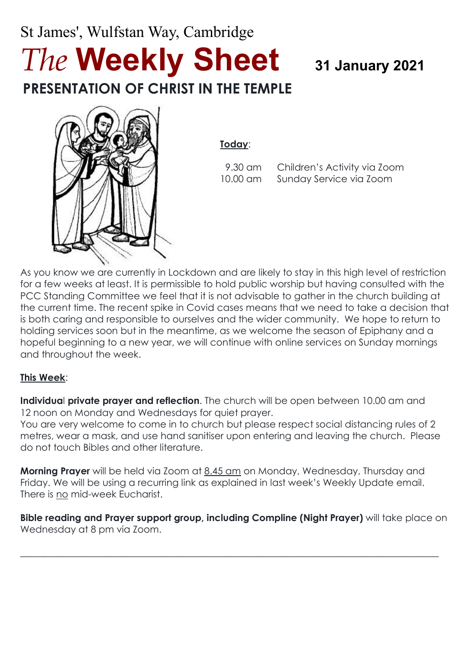# St James', Wulfstan Way, Cambridge *The* **Weekly Sheet <sup>31</sup> January 2021 PRESENTATION OF CHRIST IN THE TEMPLE**



**Today**:

9.30 am Children's Activity via Zoom 10.00 am Sunday Service via Zoom

As you know we are currently in Lockdown and are likely to stay in this high level of restriction for a few weeks at least. It is permissible to hold public worship but having consulted with the PCC Standing Committee we feel that it is not advisable to gather in the church building at the current time. The recent spike in Covid cases means that we need to take a decision that is both caring and responsible to ourselves and the wider community. We hope to return to holding services soon but in the meantime, as we welcome the season of Epiphany and a hopeful beginning to a new year, we will continue with online services on Sunday mornings and throughout the week.

#### **This Week**:

**Individua**l **private prayer and reflection**. The church will be open between 10.00 am and 12 noon on Monday and Wednesdays for quiet prayer.

You are very welcome to come in to church but please respect social distancing rules of 2 metres, wear a mask, and use hand sanitiser upon entering and leaving the church. Please do not touch Bibles and other literature.

**Morning Prayer** will be held via Zoom at 8.45 am on Monday, Wednesday, Thursday and Friday. We will be using a recurring link as explained in last week's Weekly Update email. There is no mid-week Eucharist.

**Bible reading and Prayer support group, including Compline (Night Prayer)** will take place on Wednesday at 8 pm via Zoom.

 $\_$  , and the set of the set of the set of the set of the set of the set of the set of the set of the set of the set of the set of the set of the set of the set of the set of the set of the set of the set of the set of th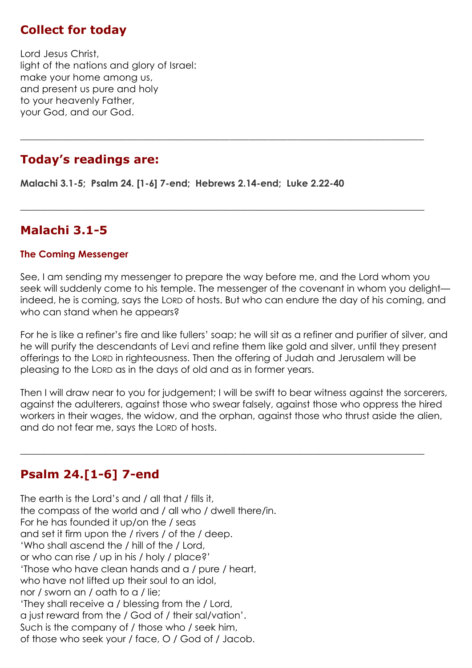## **Collect for today**

Lord Jesus Christ, light of the nations and glory of Israel: make your home among us, and present us pure and holy to your heavenly Father, your God, and our God.

#### **Today's readings are:**

**Malachi 3.1-5; Psalm 24. [1-6] 7-end; Hebrews 2.14-end; Luke 2.22-40**

#### **Malachi 3.1-5**

#### **The Coming Messenger**

See, I am sending my messenger to prepare the way before me, and the Lord whom you seek will suddenly come to his temple. The messenger of the covenant in whom you delight indeed, he is coming, says the LORD of hosts. But who can endure the day of his coming, and who can stand when he appears?

\_\_\_\_\_\_\_\_\_\_\_\_\_\_\_\_\_\_\_\_\_\_\_\_\_\_\_\_\_\_\_\_\_\_\_\_\_\_\_\_\_\_\_\_\_\_\_\_\_\_\_\_\_\_\_\_\_\_\_\_\_\_\_\_\_\_\_\_\_\_\_\_\_\_\_\_\_\_\_\_\_\_\_

 $\_$  , and the set of the set of the set of the set of the set of the set of the set of the set of the set of the set of the set of the set of the set of the set of the set of the set of the set of the set of the set of th

For he is like a refiner's fire and like fullers' soap; he will sit as a refiner and purifier of silver, and he will purify the descendants of Levi and refine them like gold and silver, until they present offerings to the LORD in righteousness. Then the offering of Judah and Jerusalem will be pleasing to the LORD as in the days of old and as in former years.

Then I will draw near to you for judgement; I will be swift to bear witness against the sorcerers, against the adulterers, against those who swear falsely, against those who oppress the hired workers in their wages, the widow, and the orphan, against those who thrust aside the alien, and do not fear me, says the LORD of hosts.

 $\_$  , and the set of the set of the set of the set of the set of the set of the set of the set of the set of the set of the set of the set of the set of the set of the set of the set of the set of the set of the set of th

#### **Psalm 24.[1-6] 7-end**

The earth is the Lord's and / all that / fills it, the compass of the world and / all who / dwell there/in. For he has founded it up/on the / seas and set it firm upon the / rivers / of the / deep. 'Who shall ascend the / hill of the / Lord, or who can rise / up in his / holy / place?' 'Those who have clean hands and a / pure / heart, who have not lifted up their soul to an idol, nor / sworn an / oath to a / lie; 'They shall receive a / blessing from the / Lord, a just reward from the / God of / their sal/vation'. Such is the company of / those who / seek him, of those who seek your / face, O / God of / Jacob.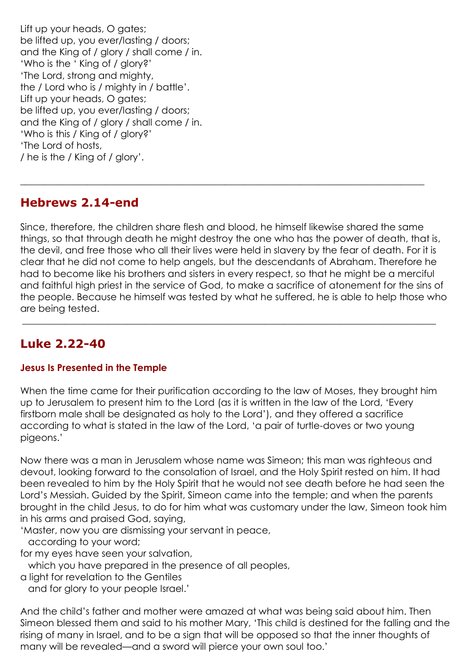Lift up your heads, O gates; be lifted up, you ever/lasting / doors; and the King of / glory / shall come / in. 'Who is the ' King of / glory?' 'The Lord, strong and mighty, the / Lord who is / mighty in / battle'. Lift up your heads, O gates; be lifted up, you ever/lasting / doors; and the King of / glory / shall come / in. 'Who is this / King of / glory?' 'The Lord of hosts, / he is the / King of / glory'.

## **Hebrews 2.14-end**

Since, therefore, the children share flesh and blood, he himself likewise shared the same things, so that through death he might destroy the one who has the power of death, that is, the devil, and free those who all their lives were held in slavery by the fear of death. For it is clear that he did not come to help angels, but the descendants of Abraham. Therefore he had to become like his brothers and sisters in every respect, so that he might be a merciful and faithful high priest in the service of God, to make a sacrifice of atonement for the sins of the people. Because he himself was tested by what he suffered, he is able to help those who are being tested.

 $\_$  , and the set of the set of the set of the set of the set of the set of the set of the set of the set of the set of the set of the set of the set of the set of the set of the set of the set of the set of the set of th

 $\_$  , and the set of the set of the set of the set of the set of the set of the set of the set of the set of the set of the set of the set of the set of the set of the set of the set of the set of the set of the set of th

# **Luke 2.22-40**

#### **Jesus Is Presented in the Temple**

When the time came for their purification according to the law of Moses, they brought him up to Jerusalem to present him to the Lord (as it is written in the law of the Lord, 'Every firstborn male shall be designated as holy to the Lord'), and they offered a sacrifice according to what is stated in the law of the Lord, 'a pair of turtle-doves or two young pigeons.'

Now there was a man in Jerusalem whose name was Simeon; this man was righteous and devout, looking forward to the consolation of Israel, and the Holy Spirit rested on him. It had been revealed to him by the Holy Spirit that he would not see death before he had seen the Lord's Messiah. Guided by the Spirit, Simeon came into the temple; and when the parents brought in the child Jesus, to do for him what was customary under the law, Simeon took him in his arms and praised God, saying,

'Master, now you are dismissing your servant in peace,

according to your word;

for my eyes have seen your salvation,

which you have prepared in the presence of all peoples,

a light for revelation to the Gentiles

and for glory to your people Israel.'

And the child's father and mother were amazed at what was being said about him. Then Simeon blessed them and said to his mother Mary, 'This child is destined for the falling and the rising of many in Israel, and to be a sign that will be opposed so that the inner thoughts of many will be revealed—and a sword will pierce your own soul too.'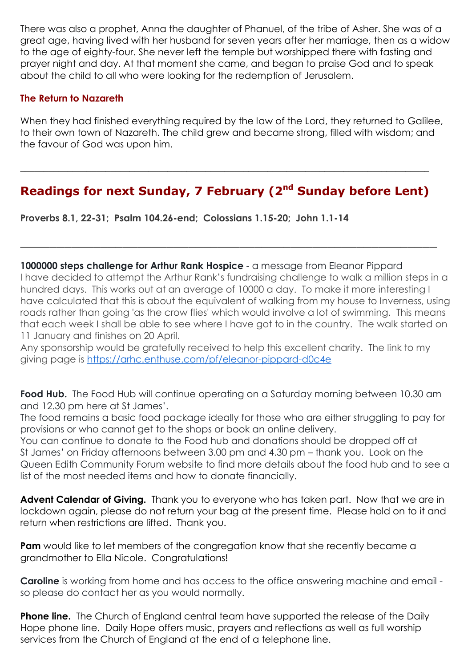There was also a prophet, Anna the daughter of Phanuel, of the tribe of Asher. She was of a great age, having lived with her husband for seven years after her marriage, then as a widow to the age of eighty-four. She never left the temple but worshipped there with fasting and prayer night and day. At that moment she came, and began to praise God and to speak about the child to all who were looking for the redemption of Jerusalem.

#### **The Return to Nazareth**

When they had finished everything required by the law of the Lord, they returned to Galilee, to their own town of Nazareth. The child grew and became strong, filled with wisdom; and the favour of God was upon him.

# **Readings for next Sunday, 7 February (2nd Sunday before Lent)**

\_\_\_\_\_\_\_\_\_\_\_\_\_\_\_\_\_\_\_\_\_\_\_\_\_\_\_\_\_\_\_\_\_\_\_\_\_\_\_\_\_\_\_\_\_\_\_\_\_\_\_\_\_\_\_\_\_

**\_\_\_\_\_\_\_\_\_\_\_\_\_\_\_\_\_\_\_\_\_\_\_\_\_\_\_\_\_\_\_\_\_\_\_\_\_\_\_\_\_\_\_\_\_\_\_\_\_\_\_\_\_\_\_\_\_\_\_\_\_\_\_\_\_\_\_\_\_\_\_\_\_\_\_\_\_\_\_\_\_\_\_\_\_\_**

**Proverbs 8.1, 22-31; Psalm 104.26-end; Colossians 1.15-20; John 1.1-14**

**1000000 steps challenge for Arthur Rank Hospice** - a message from Eleanor Pippard I have decided to attempt the Arthur Rank's fundraising challenge to walk a million steps in a hundred days. This works out at an average of 10000 a day. To make it more interesting I have calculated that this is about the equivalent of walking from my house to Inverness, using roads rather than going 'as the crow flies' which would involve a lot of swimming. This means that each week I shall be able to see where I have got to in the country. The walk started on 11 January and finishes on 20 April.

Any sponsorship would be gratefully received to help this excellent charity. The link to my giving page is <https://arhc.enthuse.com/pf/eleanor-pippard-d0c4e>

**Food Hub.** The Food Hub will continue operating on a Saturday morning between 10.30 am and 12.30 pm here at St James'.

The food remains a basic food package ideally for those who are either struggling to pay for provisions or who cannot get to the shops or book an online delivery.

You can continue to donate to the Food hub and donations should be dropped off at St James' on Friday afternoons between 3.00 pm and 4.30 pm – thank you. Look on the Queen Edith Community Forum website to find more details about the food hub and to see a list of the most needed items and how to donate financially.

**Advent Calendar of Giving.** Thank you to everyone who has taken part. Now that we are in lockdown again, please do not return your bag at the present time. Please hold on to it and return when restrictions are lifted. Thank you.

**Pam** would like to let members of the congregation know that she recently became a grandmother to Ella Nicole. Congratulations!

**Caroline** is working from home and has access to the office answering machine and email so please do contact her as you would normally.

**Phone line.** The Church of England central team have supported the release of the Daily Hope phone line. Daily Hope offers music, prayers and reflections as well as full worship services from the Church of England at the end of a telephone line.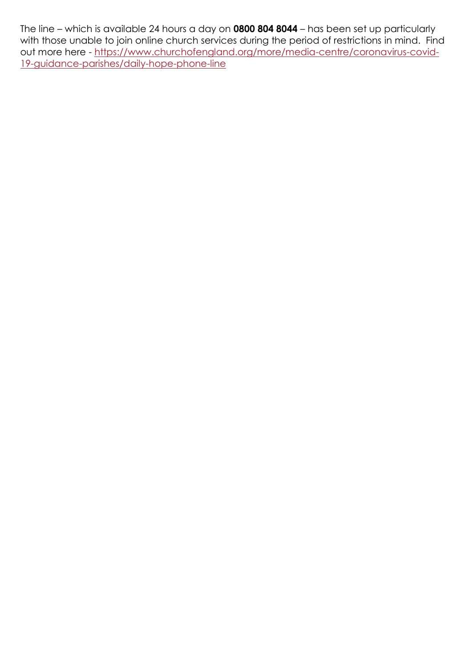The line – which is available 24 hours a day on **0800 804 8044** – has been set up particularly with those unable to join online church services during the period of restrictions in mind. Find out more here - [https://www.churchofengland.org/more/media-centre/coronavirus-covid-](https://www.churchofengland.org/more/media-centre/coronavirus-covid-19-guidance-parishes/daily-hope-phone-line)[19-guidance-parishes/daily-hope-phone-line](https://www.churchofengland.org/more/media-centre/coronavirus-covid-19-guidance-parishes/daily-hope-phone-line)